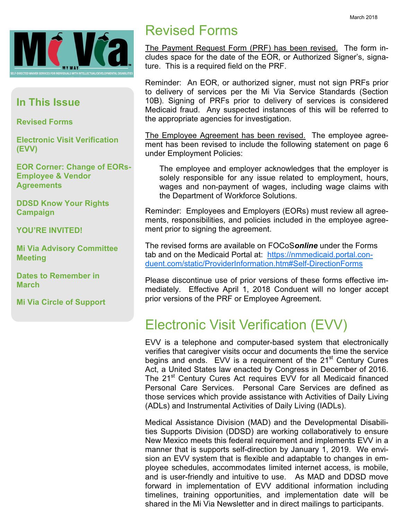

#### In This Issue

Revised Forms

Electronic Visit Verification (EVV)

EOR Corner: Change of EORs-Employee & Vendor **Agreements** 

DDSD Know Your Rights Campaign

YOU'RE INVITED!

Mi Via Advisory Committee Meeting

Dates to Remember in March

Mi Via Circle of Support

### Revised Forms

The Payment Request Form (PRF) has been revised. The form includes space for the date of the EOR, or Authorized Signer's, signature. This is a required field on the PRF.

Reminder: An EOR, or authorized signer, must not sign PRFs prior to delivery of services per the Mi Via Service Standards (Section 10B). Signing of PRFs prior to delivery of services is considered Medicaid fraud. Any suspected instances of this will be referred to the appropriate agencies for investigation.

The Employee Agreement has been revised. The employee agreement has been revised to include the following statement on page 6 under Employment Policies:

The employee and employer acknowledges that the employer is solely responsible for any issue related to employment, hours, wages and non-payment of wages, including wage claims with the Department of Workforce Solutions.

Reminder: Employees and Employers (EORs) must review all agreements, responsibilities, and policies included in the employee agreement prior to signing the agreement.

The revised forms are available on FOCoSonline under the Forms tab and on the Medicaid Portal at: https://nmmedicaid.portal.conduent.com/static/ProviderInformation.htm#Self-DirectionForms

Please discontinue use of prior versions of these forms effective immediately. Effective April 1, 2018 Conduent will no longer accept prior versions of the PRF or Employee Agreement.

## Electronic Visit Verification (EVV)

EVV is a telephone and computer-based system that electronically verifies that caregiver visits occur and documents the time the service begins and ends. EVV is a requirement of the 21<sup>st</sup> Century Cures Act, a United States law enacted by Congress in December of 2016. The 21<sup>st</sup> Century Cures Act requires EVV for all Medicaid financed Personal Care Services. Personal Care Services are defined as those services which provide assistance with Activities of Daily Living (ADLs) and Instrumental Activities of Daily Living (IADLs).

Medical Assistance Division (MAD) and the Developmental Disabilities Supports Division (DDSD) are working collaboratively to ensure New Mexico meets this federal requirement and implements EVV in a manner that is supports self-direction by January 1, 2019. We envision an EVV system that is flexible and adaptable to changes in employee schedules, accommodates limited internet access, is mobile, and is user-friendly and intuitive to use. As MAD and DDSD move forward in implementation of EVV additional information including timelines, training opportunities, and implementation date will be shared in the Mi Via Newsletter and in direct mailings to participants.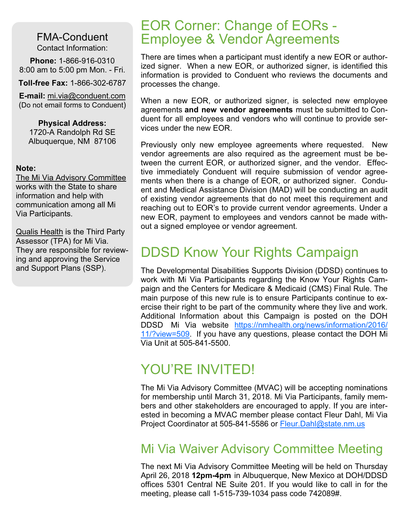FMA-Conduent Contact Information:

Phone: 1-866-916-0310 8:00 am to 5:00 pm Mon. - Fri.

Toll-free Fax: 1-866-302-6787

E-mail: mi.via@conduent.com (Do not email forms to Conduent)

Physical Address: 1720-A Randolph Rd SE Albuquerque, NM 87106

#### Note:

The Mi Via Advisory Committee works with the State to share information and help with communication among all Mi Via Participants.

**Qualis Health is the Third Party** Assessor (TPA) for Mi Via. They are responsible for reviewing and approving the Service and Support Plans (SSP).

#### EOR Corner: Change of EORs - Employee & Vendor Agreements

There are times when a participant must identify a new EOR or authorized signer. When a new EOR, or authorized signer, is identified this information is provided to Conduent who reviews the documents and processes the change.

When a new EOR, or authorized signer, is selected new employee agreements and new vendor agreements must be submitted to Conduent for all employees and vendors who will continue to provide services under the new EOR.

Previously only new employee agreements where requested. New vendor agreements are also required as the agreement must be between the current EOR, or authorized signer, and the vendor. Effective immediately Conduent will require submission of vendor agreements when there is a change of EOR, or authorized signer. Conduent and Medical Assistance Division (MAD) will be conducting an audit of existing vendor agreements that do not meet this requirement and reaching out to EOR's to provide current vendor agreements. Under a new EOR, payment to employees and vendors cannot be made without a signed employee or vendor agreement.

### DDSD Know Your Rights Campaign

The Developmental Disabilities Supports Division (DDSD) continues to work with Mi Via Participants regarding the Know Your Rights Campaign and the Centers for Medicare & Medicaid (CMS) Final Rule. The main purpose of this new rule is to ensure Participants continue to exercise their right to be part of the community where they live and work. Additional Information about this Campaign is posted on the DOH DDSD Mi Via website https://nmhealth.org/news/information/2016/ 11/?view=509. If you have any questions, please contact the DOH Mi Via Unit at 505-841-5500.

#### YOU'RE INVITED!

The Mi Via Advisory Committee (MVAC) will be accepting nominations for membership until March 31, 2018. Mi Via Participants, family members and other stakeholders are encouraged to apply. If you are interested in becoming a MVAC member please contact Fleur Dahl, Mi Via Project Coordinator at 505-841-5586 or Fleur.Dahl@state.nm.us

#### Mi Via Waiver Advisory Committee Meeting

The next Mi Via Advisory Committee Meeting will be held on Thursday April 26, 2018 12pm-4pm in Albuquerque, New Mexico at DOH/DDSD offices 5301 Central NE Suite 201. If you would like to call in for the meeting, please call 1-515-739-1034 pass code 742089#.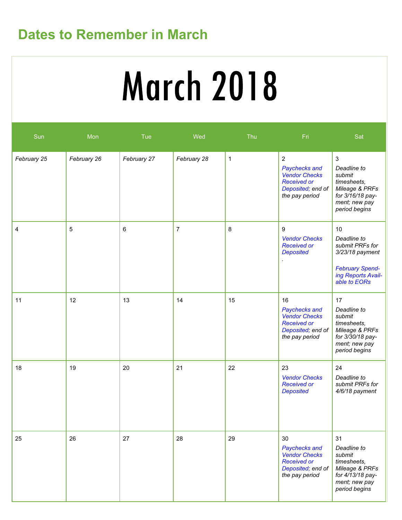# Dates to Remember in March

# **March 2018**

| Sun         | Mon         | Tue         | Wed            | Thu          | Fri                                                                                                              | Sat                                                                                                                          |
|-------------|-------------|-------------|----------------|--------------|------------------------------------------------------------------------------------------------------------------|------------------------------------------------------------------------------------------------------------------------------|
| February 25 | February 26 | February 27 | February 28    | $\mathbf{1}$ | $\sqrt{2}$<br>Paychecks and<br><b>Vendor Checks</b><br><b>Received or</b><br>Deposited; end of<br>the pay period | $\mathbf{3}$<br>Deadline to<br>submit<br>timesheets,<br>Mileage & PRFs<br>for 3/16/18 pay-<br>ment; new pay<br>period begins |
| 4           | 5           | 6           | $\overline{7}$ | 8            | 9<br><b>Vendor Checks</b><br><b>Received or</b><br><b>Deposited</b>                                              | 10<br>Deadline to<br>submit PRFs for<br>3/23/18 payment<br><b>February Spend-</b><br>ing Reports Avail-<br>able to EORs      |
| 11          | 12          | 13          | 14             | 15           | 16<br>Paychecks and<br><b>Vendor Checks</b><br><b>Received or</b><br>Deposited; end of<br>the pay period         | 17<br>Deadline to<br>submit<br>timesheets,<br>Mileage & PRFs<br>for 3/30/18 pay-<br>ment; new pay<br>period begins           |
| 18          | 19          | 20          | 21             | 22           | 23<br><b>Vendor Checks</b><br><b>Received or</b><br><b>Deposited</b>                                             | 24<br>Deadline to<br>submit PRFs for<br>4/6/18 payment                                                                       |
| 25          | 26          | 27          | 28             | 29           | 30<br>Paychecks and<br><b>Vendor Checks</b><br><b>Received or</b><br>Deposited; end of<br>the pay period         | 31<br>Deadline to<br>submit<br>timesheets,<br>Mileage & PRFs<br>for 4/13/18 pay-<br>ment; new pay<br>period begins           |